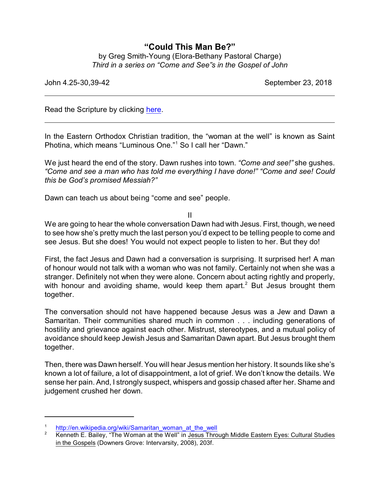## **"Could This Man Be?"**

by Greg Smith-Young (Elora-Bethany Pastoral Charge) *Third in a series on "Come and See"s in the Gospel of John*

John 4.25-30,39-42 September 23, 2018

Read the Scripture by clicking [here](https://www.biblegateway.com/passage/?search=John+4.25-30%2C39-42&version=CEB).

In the Eastern Orthodox Christian tradition, the "woman at the well" is known as Saint Photina, which means "Luminous One."<sup>1</sup> So I call her "Dawn."

We just heard the end of the story. Dawn rushes into town. *"Come and see!"* she gushes. *"Come and see a man who has told me everything I have done!" "Come and see! Could this be God's promised Messiah?"*

Dawn can teach us about being "come and see" people.

II

We are going to hear the whole conversation Dawn had with Jesus. First, though, we need to see how she's pretty much the last person you'd expect to be telling people to come and see Jesus. But she does! You would not expect people to listen to her. But they do!

First, the fact Jesus and Dawn had a conversation is surprising. It surprised her! A man of honour would not talk with a woman who was not family. Certainly not when she was a stranger. Definitely not when they were alone. Concern about acting rightly and properly, with honour and avoiding shame, would keep them apart.<sup>2</sup> But Jesus brought them together.

The conversation should not have happened because Jesus was a Jew and Dawn a Samaritan. Their communities shared much in common . . . including generations of hostility and grievance against each other. Mistrust, stereotypes, and a mutual policy of avoidance should keep Jewish Jesus and Samaritan Dawn apart. But Jesus brought them together.

Then, there was Dawn herself. You will hear Jesus mention her history. It sounds like she's known a lot of failure, a lot of disappointment, a lot of grief. We don't know the details. We sense her pain. And, I strongly suspect, whispers and gossip chased after her. Shame and judgement crushed her down.

 $\frac{1}{2}$  [http://en.wikipedia.org/wiki/Samaritan\\_woman\\_at\\_the\\_well](http://en.wikipedia.org/wiki/Samaritan_woman_at_the_well)<br>E\_Railey\_"The Woman\_at\_the\_Well" in Jesus Thro

<sup>2</sup> Kenneth E. Bailey, "The Woman at the Well" in Jesus Through Middle Eastern Eyes: Cultural Studies in the Gospels (Downers Grove: Intervarsity, 2008), 203f.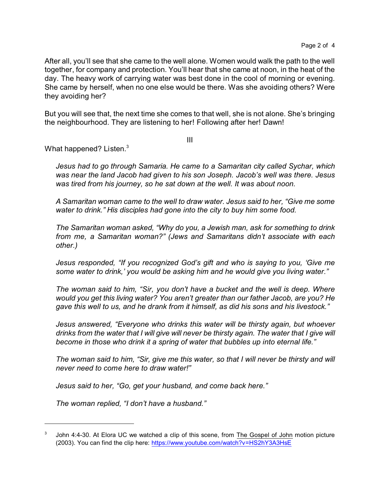After all, you'll see that she came to the well alone. Women would walk the path to the well together, for company and protection. You'll hear that she came at noon, in the heat of the day. The heavy work of carrying water was best done in the cool of morning or evening. She came by herself, when no one else would be there. Was she avoiding others? Were they avoiding her?

But you will see that, the next time she comes to that well, she is not alone. She's bringing the neighbourhood. They are listening to her! Following after her! Dawn!

III

What happened? Listen.<sup>3</sup>

*Jesus had to go through Samaria. He came to a Samaritan city called Sychar, which was near the land Jacob had given to his son Joseph. Jacob's well was there. Jesus was tired from his journey, so he sat down at the well. It was about noon.*

*A Samaritan woman came to the well to draw water. Jesus said to her, "Give me some water to drink." His disciples had gone into the city to buy him some food.*

*The Samaritan woman asked, "Why do you, a Jewish man, ask for something to drink from me, a Samaritan woman?" (Jews and Samaritans didn't associate with each other.)*

*Jesus responded, "If you recognized God's gift and who is saying to you, 'Give me some water to drink,' you would be asking him and he would give you living water."*

*The woman said to him, "Sir, you don't have a bucket and the well is deep. Where would you get this living water? You aren't greater than our father Jacob, are you? He gave this well to us, and he drank from it himself, as did his sons and his livestock."*

*Jesus answered, "Everyone who drinks this water will be thirsty again, but whoever drinks from the water that I will give will never be thirsty again. The water that I give will become in those who drink it a spring of water that bubbles up into eternal life."*

*The woman said to him, "Sir, give me this water, so that I will never be thirsty and will never need to come here to draw water!"*

*Jesus said to her, "Go, get your husband, and come back here."*

*The woman replied, "I don't have a husband."*

<sup>3</sup> John 4:4-30. At Elora UC we watched a clip of this scene, from The Gospel of John motion picture (2003). You can find the clip here: <https://www.youtube.com/watch?v=HS2hY3A3HsE>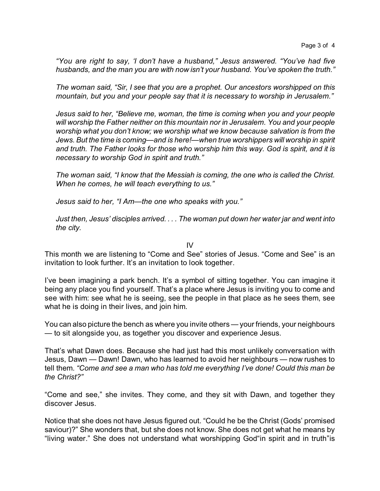*"You are right to say, 'I don't have a husband," Jesus answered. "You've had five husbands, and the man you are with now isn't your husband. You've spoken the truth."*

*The woman said, "Sir, I see that you are a prophet. Our ancestors worshipped on this mountain, but you and your people say that it is necessary to worship in Jerusalem."*

*Jesus said to her, "Believe me, woman, the time is coming when you and your people will worship the Father neither on this mountain nor in Jerusalem. You and your people worship what you don't know; we worship what we know because salvation is from the Jews. But the time is coming—and is here!—when true worshippers will worship in spirit and truth. The Father looks for those who worship him this way. God is spirit, and it is necessary to worship God in spirit and truth."*

*The woman said, "I know that the Messiah is coming, the one who is called the Christ. When he comes, he will teach everything to us."*

*Jesus said to her, "I Am—the one who speaks with you."*

*Just then, Jesus' disciples arrived. . . . The woman put down her water jar and went into the city.*

IV

This month we are listening to "Come and See" stories of Jesus. "Come and See" is an invitation to look further. It's an invitation to look together.

I've been imagining a park bench. It's a symbol of sitting together. You can imagine it being any place you find yourself. That's a place where Jesus is inviting you to come and see with him: see what he is seeing, see the people in that place as he sees them, see what he is doing in their lives, and join him.

You can also picture the bench as where you invite others — your friends, your neighbours — to sit alongside you, as together you discover and experience Jesus.

That's what Dawn does. Because she had just had this most unlikely conversation with Jesus, Dawn — Dawn! Dawn, who has learned to avoid her neighbours — now rushes to tell them. *"Come and see a man who has told me everything I've done! Could this man be the Christ?"*

"Come and see," she invites. They come, and they sit with Dawn, and together they discover Jesus.

Notice that she does not have Jesus figured out. "Could he be the Christ (Gods' promised saviour)?" She wonders that, but she does not know. She does not get what he means by "living water." She does not understand what worshipping God"in spirit and in truth"is